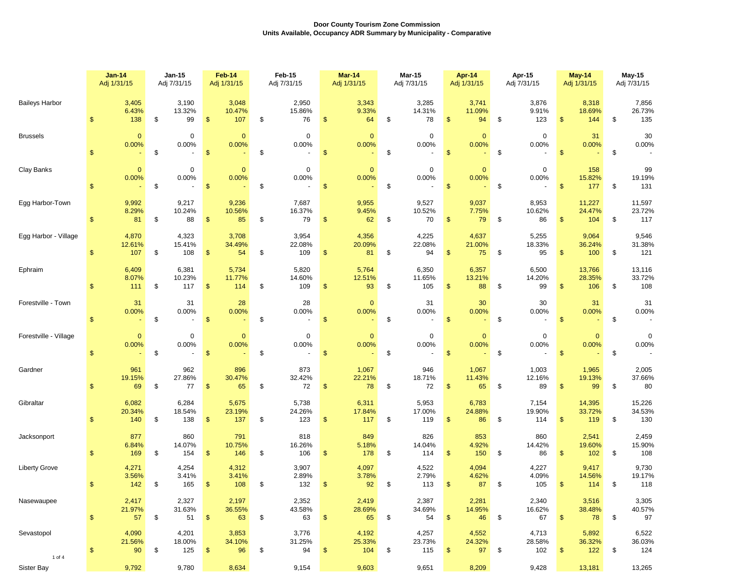|                       | <b>Jan-14</b>                | Jan-15                      | Feb-14                      | Feb-15                                       | Mar-14                      | Mar-15                      | Apr-14                                  | Apr-15                               | May-14                                 | <b>May-15</b>                 |  |
|-----------------------|------------------------------|-----------------------------|-----------------------------|----------------------------------------------|-----------------------------|-----------------------------|-----------------------------------------|--------------------------------------|----------------------------------------|-------------------------------|--|
|                       | Adj 1/31/15                  | Adj 7/31/15                 | Adj 1/31/15                 | Adj 7/31/15                                  | Adj 1/31/15                 | Adj 7/31/15                 | Adj 1/31/15                             | Adj 7/31/15                          | Adj 1/31/15                            | Adj 7/31/15                   |  |
| <b>Baileys Harbor</b> | 3,405                        | 3,190                       | 3,048                       | 2,950                                        | 3,343                       | 3,285                       | 3,741                                   | 3,876                                | 8,318                                  | 7,856                         |  |
|                       | 6.43%                        | 13.32%                      | 10.47%                      | 15.86%                                       | 9.33%                       | 14.31%                      | 11.09%                                  | 9.91%                                | 18.69%                                 | 26.73%                        |  |
|                       | \$                           | \$                          | 107                         | \$                                           | \$                          | \$                          | $\mathfrak{s}$                          | \$                                   | 144                                    | \$                            |  |
|                       | 138                          | 99                          | \$                          | 76                                           | 64                          | 78                          | 94                                      | 123                                  | $\sqrt[6]{3}$                          | 135                           |  |
| <b>Brussels</b>       | $\mathbf{0}$                 | $\mathbf 0$                 | $\mathbf{0}$                | $\mathbf 0$                                  | $\mathbf{0}$                | $\mathbf 0$                 | $\mathbf{0}$                            | $\mathbf 0$                          | 31                                     | 30                            |  |
|                       | 0.00%                        | 0.00%                       | 0.00%                       | 0.00%                                        | 0.00%                       | 0.00%                       | 0.00%                                   | 0.00%                                | 0.00%                                  | 0.00%                         |  |
|                       | \$                           | \$                          | $\mathfrak{s}$              | \$                                           | \$                          | \$                          | $\mathbf{\$}$                           | \$                                   | $\mathbf{\$}$                          | \$                            |  |
| Clay Banks            | $\mathbf{0}$<br>0.00%<br>\$. | $\mathbf 0$<br>0.00%<br>\$  | $\mathbf{0}$<br>0.00%<br>\$ | $\mathbf 0$<br>0.00%<br>\$<br>$\blacksquare$ | $\mathbf{0}$<br>0.00%<br>\$ | $\mathbf 0$<br>0.00%<br>\$  | $\mathbf{0}$<br>0.00%<br>$\mathfrak{s}$ | $\mathbf 0$<br>0.00%<br>\$<br>$\sim$ | 158<br>15.82%<br>177<br>$\mathfrak{s}$ | 99<br>19.19%<br>\$<br>131     |  |
| Egg Harbor-Town       | 9,992<br>8.29%<br>81         | 9,217<br>10.24%<br>88<br>\$ | 9,236<br>10.56%<br>85<br>\$ | 7,687<br>16.37%<br>79<br>\$                  | 9,955<br>9.45%<br>62<br>\$  | 9,527<br>10.52%<br>70<br>\$ | 9,037<br>7.75%<br>79<br>\$              | 8,953<br>10.62%<br>86<br>\$          | 11,227<br>24.47%<br>104<br>\$          | 11,597<br>23.72%<br>117<br>\$ |  |
| Egg Harbor - Village  | 4,870                        | 4,323                       | 3,708                       | 3,954                                        | 4,356                       | 4,225                       | 4,637                                   | 5,255                                | 9,064                                  | 9,546                         |  |
|                       | 12.61%                       | 15.41%                      | 34.49%                      | 22.08%                                       | 20.09%                      | 22.08%                      | 21.00%                                  | 18.33%                               | 36.24%                                 | 31.38%                        |  |
|                       | 107                          | \$                          | 54                          | 109                                          | 81                          | 94                          | 75                                      | 95                                   | \$                                     | 121                           |  |
|                       | \$                           | 108                         | \$                          | \$                                           | \$                          | \$                          | \$                                      | \$                                   | 100                                    | \$                            |  |
| Ephraim               | 6,409                        | 6,381                       | 5,734                       | 5,820                                        | 5,764                       | 6,350                       | 6,357                                   | 6,500                                | 13,766                                 | 13,116                        |  |
|                       | 8.07%                        | 10.23%                      | 11.77%                      | 14.60%                                       | 12.51%                      | 11.65%                      | 13.21%                                  | 14.20%                               | 28.35%                                 | 33.72%                        |  |
|                       | 111                          | \$                          | \$                          | 109                                          | \$                          | 105                         | 88                                      | \$                                   | 106                                    | 108                           |  |
|                       | \$.                          | 117                         | 114                         | \$                                           | 93                          | \$                          | \$.                                     | 99                                   | \$                                     | \$                            |  |
| Forestville - Town    | 31                           | 31                          | 28                          | 28                                           | $\mathbf{0}$                | 31                          | 30                                      | 30                                   | 31                                     | 31                            |  |
|                       | 0.00%                        | 0.00%                       | 0.00%                       | 0.00%                                        | 0.00%                       | 0.00%                       | 0.00%                                   | 0.00%                                | 0.00%                                  | 0.00%                         |  |
|                       | \$                           | \$                          | \$                          | \$                                           | \$                          | \$                          | \$                                      | \$                                   | \$                                     | \$                            |  |
| Forestville - Village | $\mathbf{0}$                 | 0                           | $\mathbf 0$                 | $\mathbf 0$                                  | $\mathbf{0}$                | 0                           | $\mathbf 0$                             | 0                                    | $\mathbf{0}$                           | 0                             |  |
|                       | 0.00%                        | 0.00%                       | 0.00%                       | 0.00%                                        | 0.00%                       | 0.00%                       | 0.00%                                   | 0.00%                                | 0.00%                                  | 0.00%                         |  |
|                       | \$                           | \$                          | \$                          | \$                                           | \$                          | \$                          | \$                                      | \$                                   | \$                                     | \$                            |  |
| Gardner               | 961                          | 962                         | 896                         | 873                                          | 1,067                       | 946                         | 1,067                                   | 1,003                                | 1,965                                  | 2,005                         |  |
|                       | 19.15%                       | 27.86%                      | 30.47%                      | 32.42%                                       | 22.21%                      | 18.71%                      | 11.43%                                  | 12.16%                               | 19.13%                                 | 37.66%                        |  |
|                       | 69                           | \$                          | 65                          | 72                                           | 78                          | \$                          | $\mathfrak{S}$                          | 89                                   | 99                                     | \$                            |  |
|                       | \$.                          | 77                          | \$                          | \$                                           | \$                          | 72                          | 65                                      | \$                                   | \$                                     | 80                            |  |
| Gibraltar             | 6,082                        | 6,284                       | 5,675                       | 5,738                                        | 6,311                       | 5,953                       | 6,783                                   | 7,154                                | 14,395                                 | 15,226                        |  |
|                       | 20.34%                       | 18.54%                      | 23.19%                      | 24.26%                                       | 17.84%                      | 17.00%                      | 24.88%                                  | 19.90%                               | 33.72%                                 | 34.53%                        |  |
|                       | $\mathbf{s}$                 | 138                         | 137                         | 123                                          | \$                          | 119                         | \$                                      | 114                                  | 119                                    | 130                           |  |
|                       | 140                          | \$                          | \$                          | \$                                           | 117                         | \$                          | 86                                      | \$                                   | $\mathfrak{F}$                         | \$                            |  |
| Jacksonport           | 877                          | 860                         | 791                         | 818                                          | 849                         | 826                         | 853                                     | 860                                  | 2,541                                  | 2,459                         |  |
|                       | 6.84%                        | 14.07%                      | 10.75%                      | 16.26%                                       | 5.18%                       | 14.04%                      | 4.92%                                   | 14.42%                               | 19.60%                                 | 15.90%                        |  |
|                       | 169                          | \$                          | 146                         | 106                                          | 178                         | \$                          | 150                                     | 86                                   | $\mathfrak{S}$                         | 108                           |  |
|                       | \$.                          | 154                         | \$                          | \$                                           | \$                          | 114                         | \$                                      | \$                                   | 102                                    | \$                            |  |
| <b>Liberty Grove</b>  | 4,271                        | 4,254                       | 4,312                       | 3,907                                        | 4,097                       | 4,522                       | 4,094                                   | 4,227                                | 9,417                                  | 9,730                         |  |
|                       | 3.56%                        | 3.41%                       | 3.41%                       | 2.89%                                        | 3.78%                       | 2.79%                       | 4.62%                                   | 4.09%                                | 14.56%                                 | 19.17%                        |  |
|                       | 142                          | \$                          | \$                          | \$                                           | \$                          | \$                          | $\mathfrak{s}$                          | \$                                   | $\mathbf{\$}$                          | \$                            |  |
|                       | \$.                          | 165                         | 108                         | 132                                          | 92                          | 113                         | 87                                      | 105                                  | 114                                    | 118                           |  |
| Nasewaupee            | 2,417                        | 2,327                       | 2,197                       | 2,352                                        | 2,419                       | 2,387                       | 2,281                                   | 2,340                                | 3,516                                  | 3,305                         |  |
|                       | 21.97%                       | 31.63%                      | 36.55%                      | 43.58%                                       | 28.69%                      | 34.69%                      | 14.95%                                  | 16.62%                               | 38.48%                                 | 40.57%                        |  |
|                       | $\frac{1}{2}$                | \$                          | 63                          | 63                                           | 65                          | 54                          | \$                                      | 67                                   | 78                                     | 97                            |  |
|                       | 57                           | 51                          | \$                          | \$                                           | \$                          | \$                          | 46                                      | \$                                   | S                                      | \$                            |  |
| Sevastopol            | 4,090                        | 4,201                       | 3,853                       | 3,776                                        | 4,192                       | 4,257                       | 4,552                                   | 4,713                                | 5,892                                  | 6,522                         |  |
|                       | 21.56%                       | 18.00%                      | 34.10%                      | 31.25%                                       | 25.33%                      | 23.73%                      | 24.32%                                  | 28.58%                               | 36.32%                                 | 36.03%                        |  |
|                       | \$                           | \$                          | 96                          | 94                                           | \$                          | \$                          | \$                                      | \$                                   | $\mathfrak{F}$                         | \$                            |  |
|                       | 90                           | 125                         | \$                          | \$                                           | 104                         | 115                         | 97                                      | 102                                  | $122$                                  | 124                           |  |
| 1 of 4<br>Sister Bay  | 9,792                        | 9,780                       | 8,634                       | 9,154                                        | 9,603                       | 9,651                       | 8,209                                   | 9,428                                | 13,181                                 | 13,265                        |  |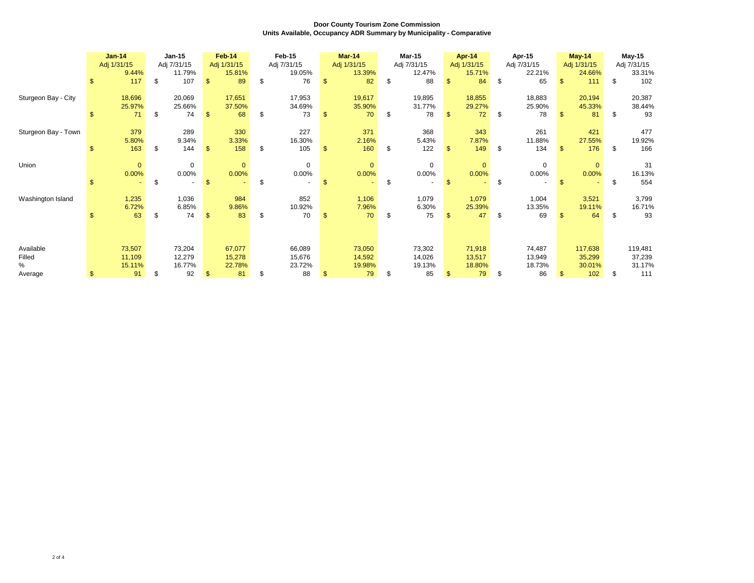|                     | <b>Jan-14</b> |              |      |             |                |              |     |             |    |              |             |               |                | Jan-15      |        | Feb-14             | Feb-15       |             |         | Mar-14 | Mar-15 |  | Apr-14 |  | Apr-15 |  | $May-14$ |  | <b>May-15</b> |  |
|---------------------|---------------|--------------|------|-------------|----------------|--------------|-----|-------------|----|--------------|-------------|---------------|----------------|-------------|--------|--------------------|--------------|-------------|---------|--------|--------|--|--------|--|--------|--|----------|--|---------------|--|
|                     |               | Adj 1/31/15  |      | Adj 7/31/15 |                | Adj 1/31/15  |     | Adj 7/31/15 |    | Adj 1/31/15  | Adj 7/31/15 | Adj 1/31/15   |                | Adj 7/31/15 |        | Adj 1/31/15        |              | Adj 7/31/15 |         |        |        |  |        |  |        |  |          |  |               |  |
|                     |               | 9.44%        |      | 11.79%      |                | 15.81%       |     | 19.05%      |    | 13.39%       | 12.47%      |               | 15.71%         |             | 22.21% |                    | 24.66%       |             | 33.31%  |        |        |  |        |  |        |  |          |  |               |  |
|                     | \$            | 117          | \$   | 107         | \$             | 89           | \$  | 76          |    | 82           | \$<br>88    | \$            | 84             | S.          | 65     | $\mathbf{s}$       | 111          | \$          | 102     |        |        |  |        |  |        |  |          |  |               |  |
| Sturgeon Bay - City |               | 18,696       |      | 20,069      |                | 17,651       |     | 17,953      |    | 19,617       | 19,895      |               | 18,855         |             | 18,883 |                    | 20,194       |             | 20,387  |        |        |  |        |  |        |  |          |  |               |  |
|                     |               | 25.97%       |      | 25.66%      |                | 37.50%       |     | 34.69%      |    | 35.90%       | 31.77%      |               | 29.27%         |             | 25.90% |                    | 45.33%       |             | 38.44%  |        |        |  |        |  |        |  |          |  |               |  |
|                     | \$.           | 71           | \$.  | 74          | $\mathfrak{S}$ | 68           | \$  | 73          |    | 70           | \$<br>78    | $\mathbf{\$}$ | 72             | S.          | 78     | $\mathbf{\hat{f}}$ | 81           | \$          | 93      |        |        |  |        |  |        |  |          |  |               |  |
|                     |               |              |      |             |                |              |     |             |    |              |             |               |                |             |        |                    |              |             |         |        |        |  |        |  |        |  |          |  |               |  |
| Sturgeon Bay - Town |               | 379          |      | 289         |                | 330          |     | 227         |    | 371          | 368         |               | 343            |             | 261    |                    | 421          |             | 477     |        |        |  |        |  |        |  |          |  |               |  |
|                     |               | 5.80%        |      | 9.34%       |                | 3.33%        |     | 16.30%      |    | 2.16%        | 5.43%       |               | 7.87%          |             | 11.88% |                    | 27.55%       |             | 19.92%  |        |        |  |        |  |        |  |          |  |               |  |
|                     | £.            | 163          | \$   | 144         | \$             | 158          | \$  | 105         |    | 160          | \$<br>122   |               | 149            | \$          | 134    | \$                 | 176          | \$          | 166     |        |        |  |        |  |        |  |          |  |               |  |
| Union               |               | $\mathbf{0}$ |      | $\mathbf 0$ |                | $\mathbf{0}$ |     | $\mathbf 0$ |    | $\mathbf{0}$ | $\mathbf 0$ |               | $\overline{0}$ |             | 0      |                    | $\mathbf{0}$ |             | 31      |        |        |  |        |  |        |  |          |  |               |  |
|                     |               | 0.00%        |      | 0.00%       |                | 0.00%        |     | 0.00%       |    | 0.00%        | 0.00%       |               | 0.00%          |             | 0.00%  |                    | 0.00%        |             | 16.13%  |        |        |  |        |  |        |  |          |  |               |  |
|                     | \$            |              | \$   |             | $\mathbf{\$}$  |              | \$  |             | £. |              | \$          | \$            |                | \$          |        | \$.                |              | \$          | 554     |        |        |  |        |  |        |  |          |  |               |  |
|                     |               |              |      |             |                |              |     |             |    |              |             |               |                |             |        |                    |              |             |         |        |        |  |        |  |        |  |          |  |               |  |
| Washington Island   |               | 1,235        |      | 1,036       |                | 984          |     | 852         |    | 1,106        | 1,079       |               | 1,079          |             | 1,004  |                    | 3,521        |             | 3,799   |        |        |  |        |  |        |  |          |  |               |  |
|                     |               | 6.72%        |      | 6.85%       |                | 9.86%        |     | 10.92%      |    | 7.96%        | 6.30%       |               | 25.39%         |             | 13.35% |                    | 19.11%       |             | 16.71%  |        |        |  |        |  |        |  |          |  |               |  |
|                     |               | 63           | - \$ | 74          |                | 83           | \$. | 70          |    | 70           | \$<br>75    |               | 47             | \$          | 69     |                    | 64           | S           | 93      |        |        |  |        |  |        |  |          |  |               |  |
|                     |               |              |      |             |                |              |     |             |    |              |             |               |                |             |        |                    |              |             |         |        |        |  |        |  |        |  |          |  |               |  |
|                     |               |              |      |             |                |              |     |             |    |              |             |               |                |             |        |                    |              |             |         |        |        |  |        |  |        |  |          |  |               |  |
| Available           |               | 73,507       |      | 73,204      |                | 67,077       |     | 66,089      |    | 73,050       | 73,302      |               | 71,918         |             | 74,487 |                    | 117,638      |             | 119,481 |        |        |  |        |  |        |  |          |  |               |  |
| Filled              |               | 11,109       |      | 12,279      |                | 15,278       |     | 15,676      |    | 14,592       | 14,026      |               | 13,517         |             | 13,949 |                    | 35,299       |             | 37,239  |        |        |  |        |  |        |  |          |  |               |  |
| $\%$                |               | 15.11%       |      | 16.77%      |                | 22.78%       |     | 23.72%      |    | 19.98%       | 19.13%      |               | 18.80%         |             | 18.73% |                    | 30.01%       |             | 31.17%  |        |        |  |        |  |        |  |          |  |               |  |
| Average             | \$            | 91           |      | 92          |                | 81           | \$  | 88          |    | 79           | \$<br>85    |               | 79             | \$.         | 86     |                    | 102          | \$.         | 111     |        |        |  |        |  |        |  |          |  |               |  |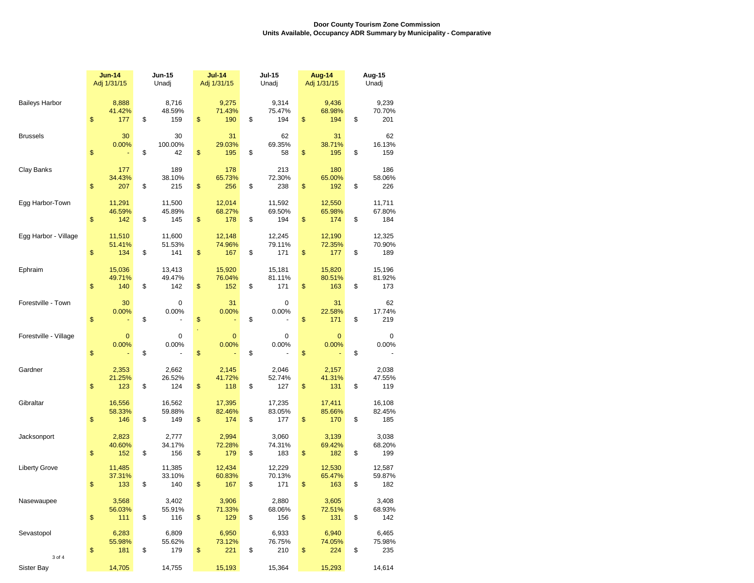|                             | <b>Jun-14</b><br>Adj 1/31/15 |                         | <b>Jun-15</b><br>Unadj |                         |    | $Jul-14$<br>Adj 1/31/15 | <b>Jul-15</b><br>Unadj        | Aug-14<br>Adj 1/31/15         | Aug-15<br>Unadj |                         |  |  |
|-----------------------------|------------------------------|-------------------------|------------------------|-------------------------|----|-------------------------|-------------------------------|-------------------------------|-----------------|-------------------------|--|--|
| <b>Baileys Harbor</b>       | \$                           | 8,888<br>41.42%<br>177  | \$                     | 8,716<br>48.59%<br>159  | \$ | 9,275<br>71.43%<br>190  | \$<br>9,314<br>75.47%<br>194  | \$<br>9,436<br>68.98%<br>194  | \$              | 9,239<br>70.70%<br>201  |  |  |
| <b>Brussels</b>             | \$                           | 30<br>0.00%             | \$                     | 30<br>100.00%<br>42     | \$ | 31<br>29.03%<br>195     | \$<br>62<br>69.35%<br>58      | \$<br>31<br>38.71%<br>195     | \$              | 62<br>16.13%<br>159     |  |  |
| Clay Banks                  | \$                           | 177<br>34.43%<br>207    | \$                     | 189<br>38.10%<br>215    | \$ | 178<br>65.73%<br>256    | \$<br>213<br>72.30%<br>238    | \$<br>180<br>65.00%<br>192    | \$              | 186<br>58.06%<br>226    |  |  |
| Egg Harbor-Town             | \$                           | 11,291<br>46.59%<br>142 | \$                     | 11,500<br>45.89%<br>145 | \$ | 12,014<br>68.27%<br>178 | \$<br>11,592<br>69.50%<br>194 | \$<br>12,550<br>65.98%<br>174 | \$              | 11,711<br>67.80%<br>184 |  |  |
| Egg Harbor - Village        | $\mathbb{S}$                 | 11,510<br>51.41%<br>134 | \$                     | 11,600<br>51.53%<br>141 | \$ | 12,148<br>74.96%<br>167 | \$<br>12,245<br>79.11%<br>171 | \$<br>12,190<br>72.35%<br>177 | \$              | 12,325<br>70.90%<br>189 |  |  |
| Ephraim                     | \$                           | 15,036<br>49.71%<br>140 | \$                     | 13,413<br>49.47%<br>142 | \$ | 15,920<br>76.04%<br>152 | \$<br>15,181<br>81.11%<br>171 | \$<br>15,820<br>80.51%<br>163 | \$              | 15,196<br>81.92%<br>173 |  |  |
| Forestville - Town          | \$                           | 30<br>0.00%             | \$                     | $\mathbf 0$<br>0.00%    | \$ | 31<br>0.00%             | \$<br>$\mathbf 0$<br>0.00%    | \$<br>31<br>22.58%<br>171     | \$              | 62<br>17.74%<br>219     |  |  |
| Forestville - Village       | \$                           | $\mathbf 0$<br>0.00%    | \$                     | $\mathbf 0$<br>0.00%    | \$ | $\mathbf{0}$<br>0.00%   | \$<br>0<br>0.00%              | \$<br>$\mathbf 0$<br>0.00%    | \$              | 0<br>0.00%              |  |  |
| Gardner                     | \$                           | 2,353<br>21.25%<br>123  | \$                     | 2,662<br>26.52%<br>124  | \$ | 2,145<br>41.72%<br>118  | \$<br>2,046<br>52.74%<br>127  | \$<br>2,157<br>41.31%<br>131  | \$              | 2,038<br>47.55%<br>119  |  |  |
| Gibraltar                   | \$                           | 16,556<br>58.33%<br>146 | \$                     | 16,562<br>59.88%<br>149 | \$ | 17,395<br>82.46%<br>174 | \$<br>17,235<br>83.05%<br>177 | \$<br>17,411<br>85.66%<br>170 | \$              | 16,108<br>82.45%<br>185 |  |  |
| Jacksonport                 | \$                           | 2,823<br>40.60%<br>152  | \$                     | 2,777<br>34.17%<br>156  | \$ | 2,994<br>72.28%<br>179  | \$<br>3,060<br>74.31%<br>183  | \$<br>3,139<br>69.42%<br>182  | \$              | 3,038<br>68.20%<br>199  |  |  |
| <b>Liberty Grove</b>        | \$                           | 11,485<br>37.31%<br>133 | \$                     | 11,385<br>33.10%<br>140 | \$ | 12,434<br>60.83%<br>167 | \$<br>12,229<br>70.13%<br>171 | \$<br>12,530<br>65.47%<br>163 | \$              | 12,587<br>59.87%<br>182 |  |  |
| Nasewaupee                  | \$                           | 3,568<br>56.03%<br>111  | \$                     | 3,402<br>55.91%<br>116  | \$ | 3,906<br>71.33%<br>129  | \$<br>2,880<br>68.06%<br>156  | \$<br>3,605<br>72.51%<br>131  | \$              | 3,408<br>68.93%<br>142  |  |  |
| Sevastopol                  | \$                           | 6,283<br>55.98%<br>181  | \$                     | 6,809<br>55.62%<br>179  | \$ | 6,950<br>73.12%<br>221  | \$<br>6,933<br>76.75%<br>210  | \$<br>6,940<br>74.05%<br>224  | \$              | 6,465<br>75.98%<br>235  |  |  |
| 3 of 4<br><b>Sister Bay</b> |                              | 14,705                  |                        | 14,755                  |    | 15,193                  | 15,364                        | 15,293                        |                 | 14,614                  |  |  |